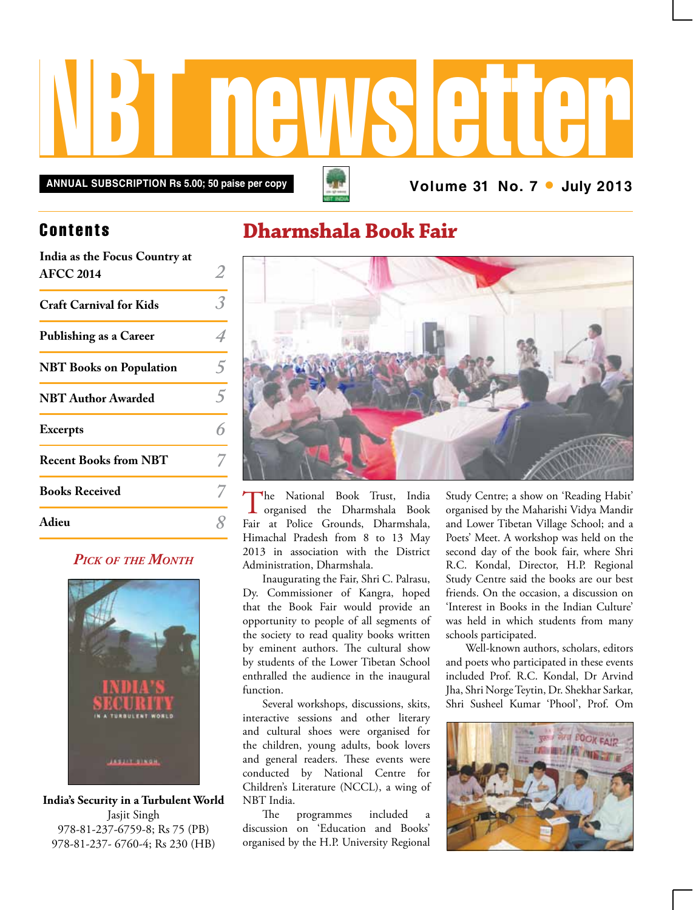

**Annual subscription Rs 5.00; 50 paise per copy Volume 31 No. 7 • July 2013**

### **Contents**

| India as the Focus Country at<br><b>AFCC 2014</b> |                |
|---------------------------------------------------|----------------|
| <b>Craft Carnival for Kids</b>                    |                |
| <b>Publishing as a Career</b>                     |                |
| <b>NBT Books on Population</b>                    | 5              |
| <b>NBT Author Awarded</b>                         | $\overline{5}$ |
| <b>Excerpts</b>                                   |                |
| <b>Recent Books from NBT</b>                      |                |
| <b>Books Received</b>                             |                |
| Adieu                                             |                |

### *Pick of the Month*



**India's Security in a Turbulent World** Jasjit Singh 978-81-237-6759-8; Rs 75 (PB) 978-81-237- 6760-4; Rs 230 (HB)

## **Dharmshala Book Fair**



The National Book Trust, India organised the Dharmshala Book Fair at Police Grounds, Dharmshala, Himachal Pradesh from 8 to 13 May 2013 in association with the District Administration, Dharmshala.

Inaugurating the Fair, Shri C. Palrasu, Dy. Commissioner of Kangra, hoped that the Book Fair would provide an opportunity to people of all segments of the society to read quality books written by eminent authors. The cultural show by students of the Lower Tibetan School enthralled the audience in the inaugural function.

Several workshops, discussions, skits, interactive sessions and other literary and cultural shoes were organised for the children, young adults, book lovers and general readers. These events were conducted by National Centre for Children's Literature (NCCL), a wing of NBT India.

The programmes included a discussion on 'Education and Books' organised by the H.P. University Regional Study Centre; a show on 'Reading Habit' organised by the Maharishi Vidya Mandir and Lower Tibetan Village School; and a Poets' Meet. A workshop was held on the second day of the book fair, where Shri R.C. Kondal, Director, H.P. Regional Study Centre said the books are our best friends. On the occasion, a discussion on 'Interest in Books in the Indian Culture' was held in which students from many schools participated.

Well-known authors, scholars, editors and poets who participated in these events included Prof. R.C. Kondal, Dr Arvind Jha, Shri Norge Teytin, Dr. Shekhar Sarkar, Shri Susheel Kumar 'Phool', Prof. Om

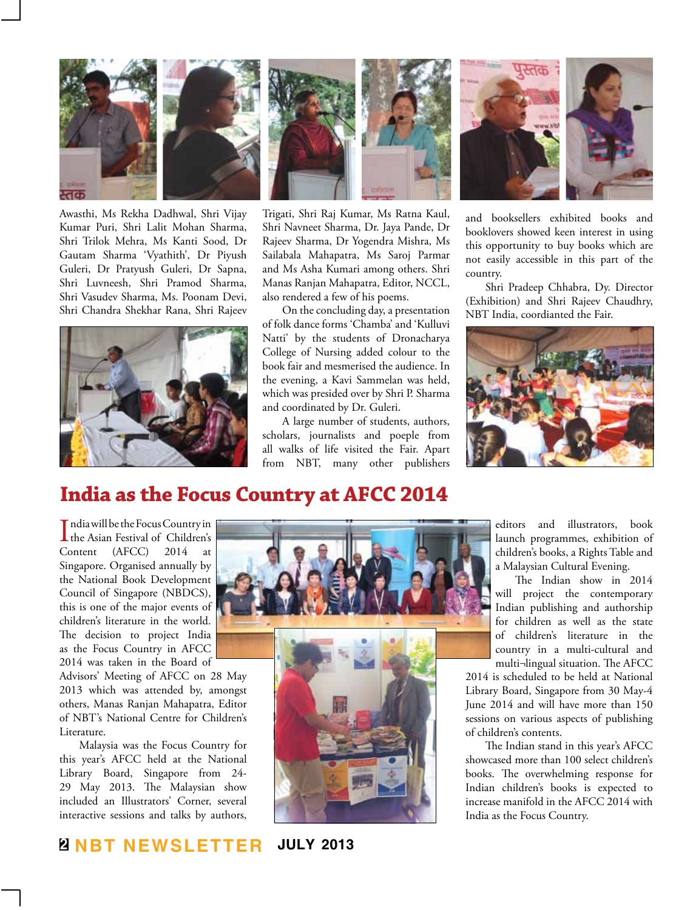

Awasthi, Ms Rekha Dadhwal, Shri Vijay Kumar Puri, Shri Lalit Mohan Sharma, Shri Trilok Mehra, Ms Kanti Sood, Dr Gautam Sharma 'Vyathith', Dr Piyush Guleri, Dr Pratyush Guleri, Dr Sapna, Shri Luvneesh, Shri Pramod Sharma, Shri Vasudev Sharma, Ms. Poonam Devi, Shri Chandra Shekhar Rana, Shri Rajeev



Trigati, Shri Raj Kumar, Ms Ratna Kaul, Shri Navneet Sharma, Dr. Jaya Pande, Dr Rajeev Sharma, Dr Yogendra Mishra, Ms Sailabala Mahapatra, Ms Saroj Parmar and Ms Asha Kumari among others. Shri Manas Ranjan Mahapatra, Editor, NCCL, also rendered a few of his poems.

On the concluding day, a presentation of folk dance forms 'Chamba' and 'Kulluvi Natti' by the students of Dronacharya College of Nursing added colour to the book fair and mesmerised the audience. In the evening, a Kavi Sammelan was held, which was presided over by Shri P. Sharma and coordinated by Dr. Guleri.

A large number of students, authors, scholars, journalists and poeple from all walks of life visited the Fair. Apart from NBT, many other publishers and booksellers exhibited books and booklovers showed keen interest in using this opportunity to buy books which are not easily accessible in this part of the country.

Shri Pradeep Chhabra, Dy. Director (Exhibition) and Shri Rajeev Chaudhry, NBT India, coordianted the Fair.



### **India as the Focus Country at AFCC 2014**

India will be the Focus Country in<br>the Asian Festival of Children's ndia will be the Focus Country in Content (AFCC) 2014 at Singapore. Organised annually by the National Book Development Council of Singapore (NBDCS), this is one of the major events of children's literature in the world. The decision to project India as the Focus Country in AFCC 2014 was taken in the Board of

Advisors' Meeting of AFCC on 28 May 2013 which was attended by, amongst others, Manas Ranjan Mahapatra, Editor of NBT's National Centre for Children's Literature.

Malaysia was the Focus Country for this year's AFCC held at the National Library Board, Singapore from 24- 29 May 2013. The Malaysian show included an Illustrators' Corner, several interactive sessions and talks by authors,



**2 NBT Newsletter july 2013**

editors and illustrators, book launch programmes, exhibition of children's books, a Rights Table and a Malaysian Cultural Evening.

The Indian show in 2014 will project the contemporary Indian publishing and authorship for children as well as the state of children's literature in the country in a multi-cultural and multi¬lingual situation. The AFCC

2014 is scheduled to be held at National Library Board, Singapore from 30 May-4 June 2014 and will have more than 150 sessions on various aspects of publishing of children's contents.

The Indian stand in this year's AFCC showcased more than 100 select children's books. The overwhelming response for Indian children's books is expected to increase manifold in the AFCC 2014 with India as the Focus Country.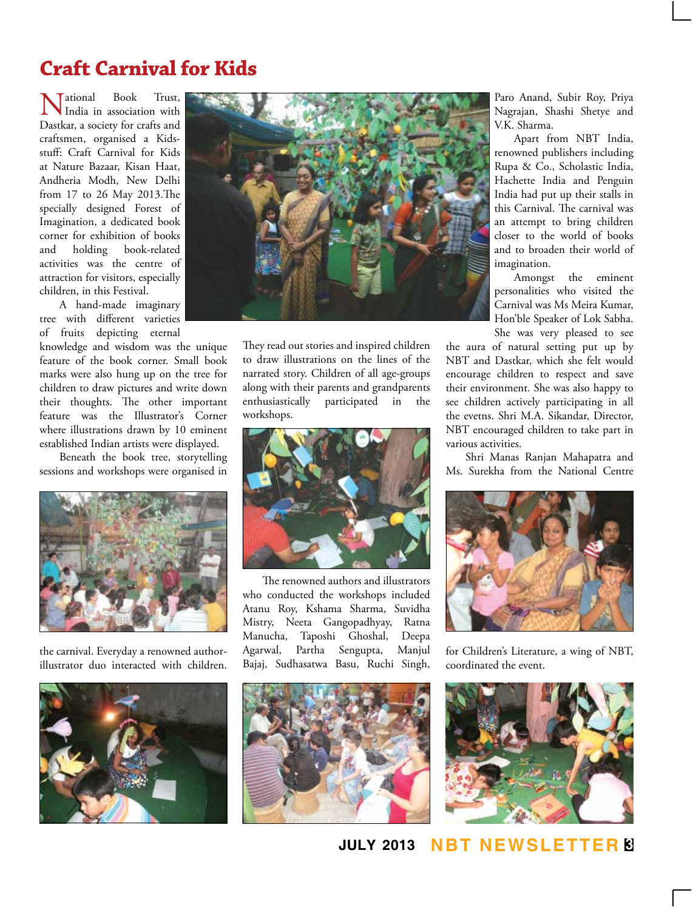# **Craft Carnival for Kids**

National Book Trust, India in association with Dastkar, a society for crafts and craftsmen, organised a Kidsstuff: Craft Carnival for Kids at Nature Bazaar, Kisan Haat, Andheria Modh, New Delhi from 17 to 26 May 2013.The specially designed Forest of Imagination, a dedicated book corner for exhibition of books and holding book-related activities was the centre of attraction for visitors, especially children, in this Festival.

A hand-made imaginary tree with different varieties of fruits depicting eternal

knowledge and wisdom was the unique feature of the book corner. Small book marks were also hung up on the tree for children to draw pictures and write down their thoughts. The other important feature was the Illustrator's Corner where illustrations drawn by 10 eminent established Indian artists were displayed.

Beneath the book tree, storytelling sessions and workshops were organised in



the carnival. Everyday a renowned authorillustrator duo interacted with children.





They read out stories and inspired children to draw illustrations on the lines of the narrated story. Children of all age-groups along with their parents and grandparents enthusiastically participated in the workshops.



The renowned authors and illustrators who conducted the workshops included Atanu Roy, Kshama Sharma, Suvidha Mistry, Neeta Gangopadhyay, Ratna Manucha, Taposhi Ghoshal, Deepa Agarwal, Partha Sengupta, Manjul Bajaj, Sudhasatwa Basu, Ruchi Singh,



Paro Anand, Subir Roy, Priya Nagrajan, Shashi Shetye and V.K. Sharma.

Apart from NBT India, renowned publishers including Rupa & Co., Scholastic India, Hachette India and Penguin India had put up their stalls in this Carnival. The carnival was an attempt to bring children closer to the world of books and to broaden their world of imagination.

Amongst the eminent personalities who visited the Carnival was Ms Meira Kumar, Hon'ble Speaker of Lok Sabha. She was very pleased to see

the aura of natural setting put up by NBT and Dastkar, which she felt would encourage children to respect and save their environment. She was also happy to see children actively participating in all the evetns. Shri M.A. Sikandar, Director, NBT encouraged children to take part in various activities.

Shri Manas Ranjan Mahapatra and Ms. Surekha from the National Centre



for Children's Literature, a wing of NBT, coordinated the event.



**july 2013 NBT Newsletter 3**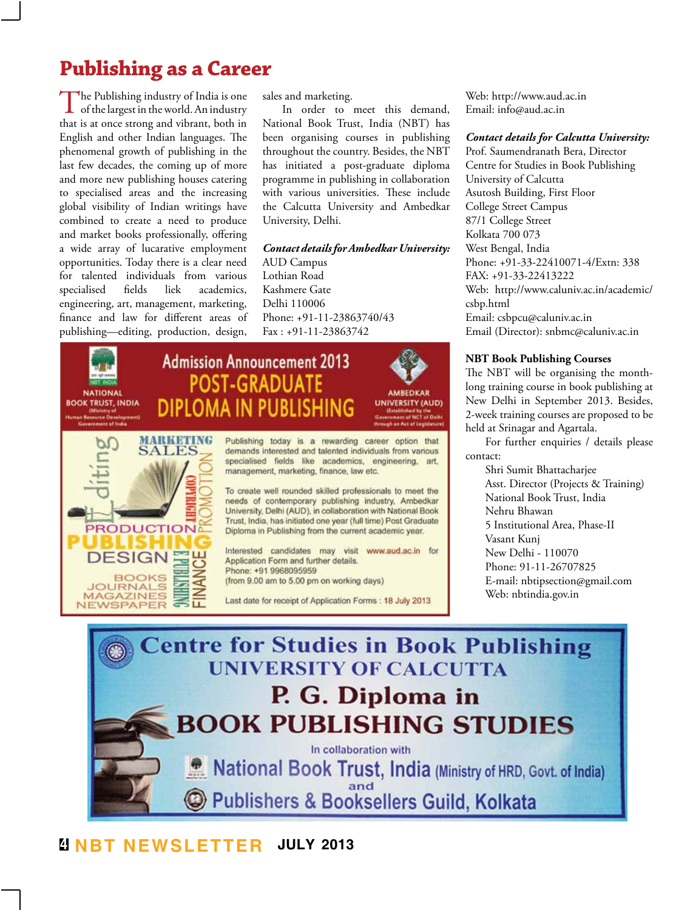# **Publishing as a Career**

The Publishing industry of India is one<br>of the largest in the world. An industry that is at once strong and vibrant, both in English and other Indian languages. The phenomenal growth of publishing in the last few decades, the coming up of more and more new publishing houses catering to specialised areas and the increasing global visibility of Indian writings have combined to create a need to produce and market books professionally, offering a wide array of lucarative employment opportunities. Today there is a clear need for talented individuals from various specialised fields liek academics, engineering, art, management, marketing, finance and law for different areas of publishing—editing, production, design,

sales and marketing.

In order to meet this demand, National Book Trust, India (NBT) has been organising courses in publishing throughout the country. Besides, the NBT has initiated a post-graduate diploma programme in publishing in collaboration with various universities. These include the Calcutta University and Ambedkar University, Delhi.

*Contact details for Ambedkar University:* AUD Campus Lothian Road Kashmere Gate Delhi 110006 Phone: +91-11-23863740/43 Fax : +91-11-23863742

**AMBEDKAR** 

**UNIVERSITY (AUD)** 



Publishing today is a rewarding career option that demands interested and talented individuals from various specialised fields like academics, engineering, art, management, marketing, finance, law etc.

To create well rounded skilled professionals to meet the needs of contemporary publishing industry, Ambedkar University, Delhi (AUD), in collaboration with National Book Trust, India, has initiated one year (full time) Post Graduate Diploma in Publishing from the current academic year.

Interested candidates may visit www.aud.ac.in for Application Form and further details. (from 9.00 am to 5.00 pm on working days)

Last date for receipt of Application Forms : 18 July 2013

Web: http://www.aud.ac.in Email: info@aud.ac.in

### *Contact details for Calcutta University:*

Prof. Saumendranath Bera, Director Centre for Studies in Book Publishing University of Calcutta Asutosh Building, First Floor College Street Campus 87/1 College Street Kolkata 700 073 West Bengal, India Phone: +91-33-22410071-4/Extn: 338 FAX: +91-33-22413222 Web: http://www.caluniv.ac.in/academic/ csbp.html Email: csbpcu@caluniv.ac.in Email (Director): snbmc@caluniv.ac.in

#### **NBT Book Publishing Courses**

The NBT will be organising the monthlong training course in book publishing at New Delhi in September 2013. Besides, 2-week training courses are proposed to be held at Srinagar and Agartala.

For further enquiries / details please contact:

> Shri Sumit Bhattacharjee Asst. Director (Projects & Training) National Book Trust, India Nehru Bhawan 5 Institutional Area, Phase-II Vasant Kunj New Delhi - 110070 Phone: 91-11-26707825 E-mail: nbtipsection@gmail.com Web: nbtindia.gov.in



**4 NBT Newsletter july 2013**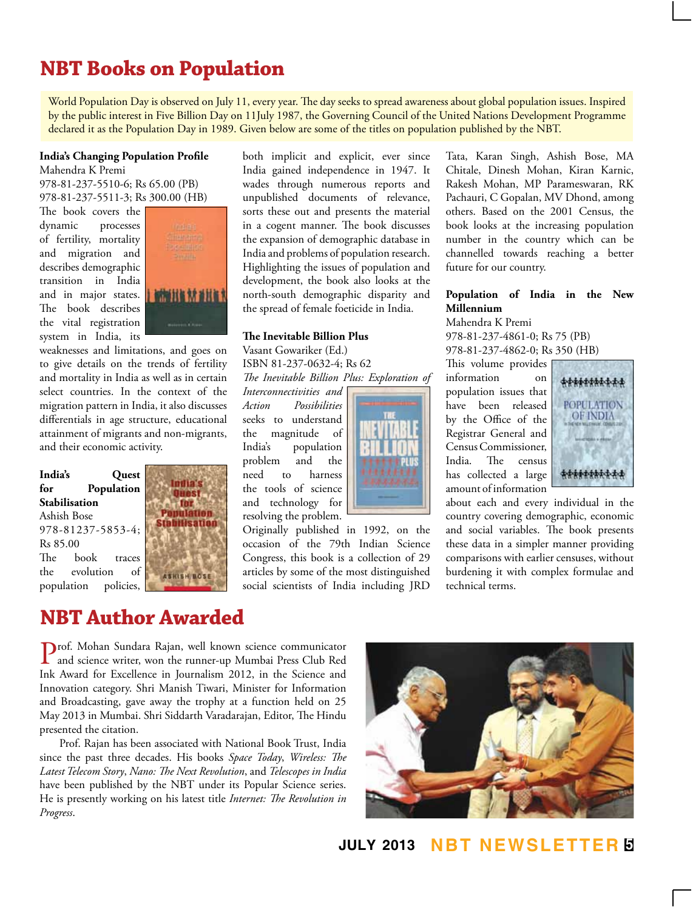# **NBT Books on Population**

World Population Day is observed on July 11, every year. The day seeks to spread awareness about global population issues. Inspired by the public interest in Five Billion Day on 11July 1987, the Governing Council of the United Nations Development Programme declared it as the Population Day in 1989. Given below are some of the titles on population published by the NBT.

#### **India's Changing Population Profile** Mahendra K Premi

978-81-237-5510-6; Rs 65.00 (PB) 978-81-237-5511-3; Rs 300.00 (HB)

The book covers the dynamic processes of fertility, mortality and migration and describes demographic transition in India and in major states. The book describes the vital registration system in India, its



weaknesses and limitations, and goes on to give details on the trends of fertility and mortality in India as well as in certain select countries. In the context of the migration pattern in India, it also discusses differentials in age structure, educational attainment of migrants and non-migrants, and their economic activity.

**India's Quest for Population Stabilisation** Ashish Bose 978-81237-5853-4; Rs 85.00 The book traces the evolution of population policies,



both implicit and explicit, ever since India gained independence in 1947. It wades through numerous reports and unpublished documents of relevance, sorts these out and presents the material in a cogent manner. The book discusses the expansion of demographic database in India and problems of population research. Highlighting the issues of population and development, the book also looks at the north-south demographic disparity and the spread of female foeticide in India.

#### **The Inevitable Billion Plus**

Vasant Gowariker (Ed.) ISBN 81-237-0632-4; Rs 62 *The Inevitable Billion Plus: Exploration of* 

*Interconnectivities and Action Possibilities*  seeks to understand the magnitude of India's population<br>problem and the problem and the need to harness the tools of science and technology for resolving the problem.



Originally published in 1992, on the occasion of the 79th Indian Science Congress, this book is a collection of 29 articles by some of the most distinguished social scientists of India including JRD

Tata, Karan Singh, Ashish Bose, MA Chitale, Dinesh Mohan, Kiran Karnic, Rakesh Mohan, MP Parameswaran, RK Pachauri, C Gopalan, MV Dhond, among others. Based on the 2001 Census, the book looks at the increasing population number in the country which can be channelled towards reaching a better future for our country.

### **Population of India in the New Millennium**

Mahendra K Premi 978-81-237-4861-0; Rs 75 (PB) 978-81-237-4862-0; Rs 350 (HB)

This volume provides information on population issues that have been released by the Office of the Registrar General and Census Commissioner, India. The census has collected a large amount of information



about each and every individual in the country covering demographic, economic and social variables. The book presents these data in a simpler manner providing comparisons with earlier censuses, without burdening it with complex formulae and technical terms.

**NBT Author Awarded**

Prof. Mohan Sundara Rajan, well known science communicator and science writer, won the runner-up Mumbai Press Club Red Ink Award for Excellence in Journalism 2012, in the Science and Innovation category. Shri Manish Tiwari, Minister for Information and Broadcasting, gave away the trophy at a function held on 25 May 2013 in Mumbai. Shri Siddarth Varadarajan, Editor, The Hindu presented the citation.

Prof. Rajan has been associated with National Book Trust, India since the past three decades. His books *Space Today*, *Wireless: The Latest Telecom Story*, *Nano: The Next Revolution*, and *Telescopes in India*  have been published by the NBT under its Popular Science series. He is presently working on his latest title *Internet: The Revolution in Progress*.



**july 2013 NBT Newsletter 5**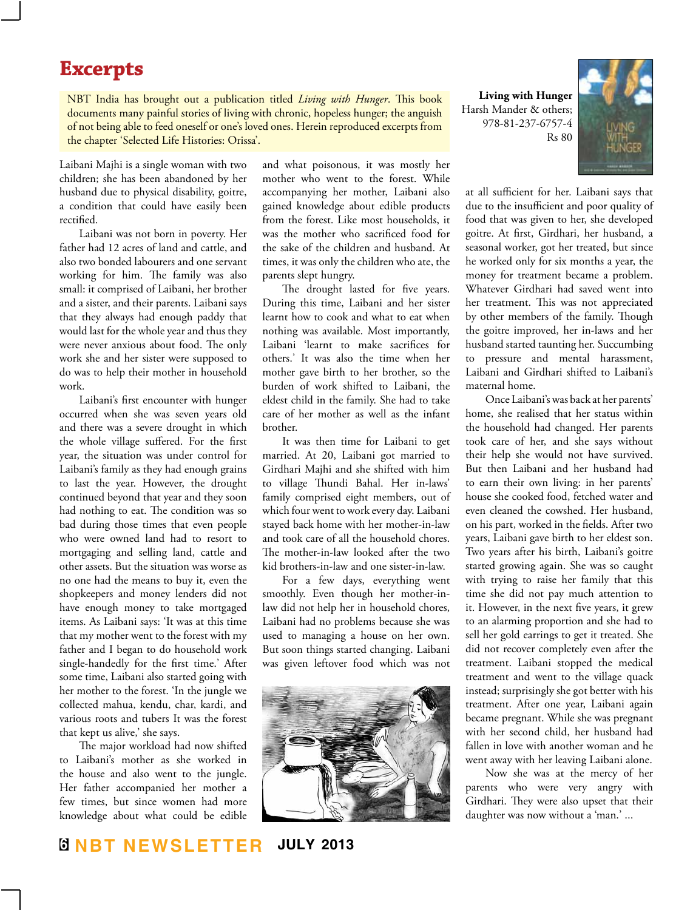### **Excerpts**

NBT India has brought out a publication titled *Living with Hunger*. This book documents many painful stories of living with chronic, hopeless hunger; the anguish of not being able to feed oneself or one's loved ones. Herein reproduced excerpts from the chapter 'Selected Life Histories: Orissa'.

Laibani Majhi is a single woman with two children; she has been abandoned by her husband due to physical disability, goitre, a condition that could have easily been rectified.

Laibani was not born in poverty. Her father had 12 acres of land and cattle, and also two bonded labourers and one servant working for him. The family was also small: it comprised of Laibani, her brother and a sister, and their parents. Laibani says that they always had enough paddy that would last for the whole year and thus they were never anxious about food. The only work she and her sister were supposed to do was to help their mother in household work.

Laibani's first encounter with hunger occurred when she was seven years old and there was a severe drought in which the whole village suffered. For the first year, the situation was under control for Laibani's family as they had enough grains to last the year. However, the drought continued beyond that year and they soon had nothing to eat. The condition was so bad during those times that even people who were owned land had to resort to mortgaging and selling land, cattle and other assets. But the situation was worse as no one had the means to buy it, even the shopkeepers and money lenders did not have enough money to take mortgaged items. As Laibani says: 'It was at this time that my mother went to the forest with my father and I began to do household work single-handedly for the first time.' After some time, Laibani also started going with her mother to the forest. 'In the jungle we collected mahua, kendu, char, kardi, and various roots and tubers It was the forest that kept us alive,' she says.

The major workload had now shifted to Laibani's mother as she worked in the house and also went to the jungle. Her father accompanied her mother a few times, but since women had more knowledge about what could be edible

and what poisonous, it was mostly her mother who went to the forest. While accompanying her mother, Laibani also gained knowledge about edible products from the forest. Like most households, it was the mother who sacrificed food for the sake of the children and husband. At times, it was only the children who ate, the parents slept hungry.

The drought lasted for five years. During this time, Laibani and her sister learnt how to cook and what to eat when nothing was available. Most importantly, Laibani 'learnt to make sacrifices for others.' It was also the time when her mother gave birth to her brother, so the burden of work shifted to Laibani, the eldest child in the family. She had to take care of her mother as well as the infant brother.

It was then time for Laibani to get married. At 20, Laibani got married to Girdhari Majhi and she shifted with him to village Thundi Bahal. Her in-laws' family comprised eight members, out of which four went to work every day. Laibani stayed back home with her mother-in-law and took care of all the household chores. The mother-in-law looked after the two kid brothers-in-law and one sister-in-law.

For a few days, everything went smoothly. Even though her mother-inlaw did not help her in household chores, Laibani had no problems because she was used to managing a house on her own. But soon things started changing. Laibani was given leftover food which was not



**Living with Hunger** Harsh Mander & others; 978-81-237-6757-4 Rs 80



at all sufficient for her. Laibani says that due to the insufficient and poor quality of food that was given to her, she developed goitre. At first, Girdhari, her husband, a seasonal worker, got her treated, but since he worked only for six months a year, the money for treatment became a problem. Whatever Girdhari had saved went into her treatment. This was not appreciated by other members of the family. Though the goitre improved, her in-laws and her husband started taunting her. Succumbing to pressure and mental harassment, Laibani and Girdhari shifted to Laibani's maternal home.

Once Laibani's was back at her parents' home, she realised that her status within the household had changed. Her parents took care of her, and she says without their help she would not have survived. But then Laibani and her husband had to earn their own living: in her parents' house she cooked food, fetched water and even cleaned the cowshed. Her husband, on his part, worked in the fields. After two years, Laibani gave birth to her eldest son. Two years after his birth, Laibani's goitre started growing again. She was so caught with trying to raise her family that this time she did not pay much attention to it. However, in the next five years, it grew to an alarming proportion and she had to sell her gold earrings to get it treated. She did not recover completely even after the treatment. Laibani stopped the medical treatment and went to the village quack instead; surprisingly she got better with his treatment. After one year, Laibani again became pregnant. While she was pregnant with her second child, her husband had fallen in love with another woman and he went away with her leaving Laibani alone.

Now she was at the mercy of her parents who were very angry with Girdhari. They were also upset that their daughter was now without a 'man.' ...

**6 NBT Newsletter july 2013**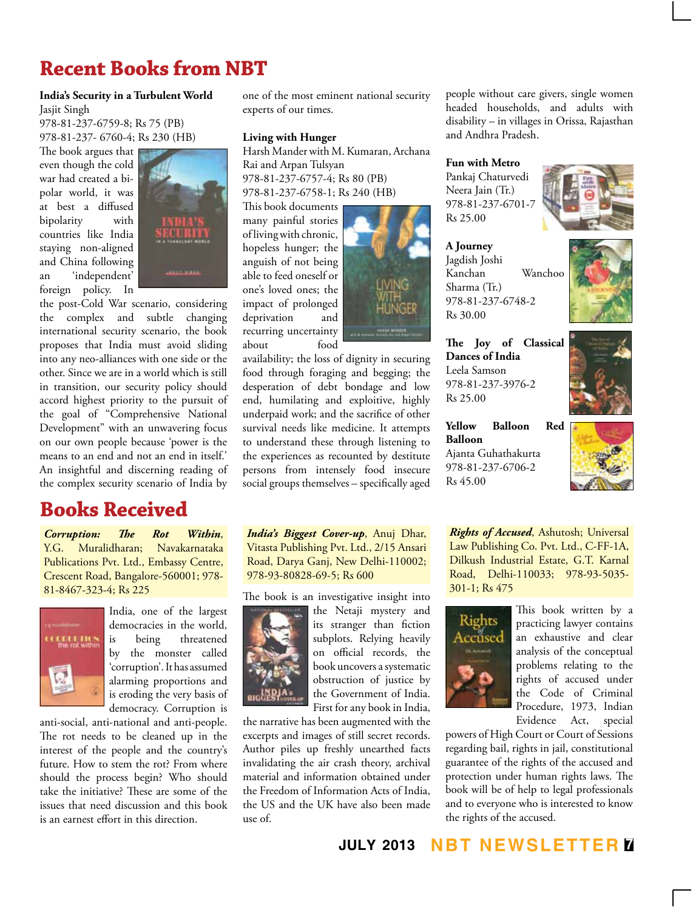# **Recent Books from NBT**

#### **India's Security in a Turbulent World** Jasjit Singh

978-81-237-6759-8; Rs 75 (PB) 978-81-237- 6760-4; Rs 230 (HB)

The book argues that even though the cold war had created a bipolar world, it was at best a diffused bipolarity with countries like India staying non-aligned and China following an 'independent' foreign policy. In



the post-Cold War scenario, considering the complex and subtle changing international security scenario, the book proposes that India must avoid sliding into any neo-alliances with one side or the other. Since we are in a world which is still in transition, our security policy should accord highest priority to the pursuit of the goal of "Comprehensive National Development" with an unwavering focus on our own people because 'power is the means to an end and not an end in itself.' An insightful and discerning reading of the complex security scenario of India by

### **Books Received**

*Corruption: The Rot Within*, Y.G. Muralidharan; Navakarnataka Publications Pvt. Ltd., Embassy Centre, Crescent Road, Bangalore-560001; 978- 81-8467-323-4; Rs 225



India, one of the largest democracies in the world, is being threatened by the monster called 'corruption'. It has assumed alarming proportions and is eroding the very basis of democracy. Corruption is

anti-social, anti-national and anti-people. The rot needs to be cleaned up in the interest of the people and the country's future. How to stem the rot? From where should the process begin? Who should take the initiative? These are some of the issues that need discussion and this book is an earnest effort in this direction.

one of the most eminent national security experts of our times.

#### **Living with Hunger**

Harsh Mander with M. Kumaran, Archana Rai and Arpan Tulsyan

978-81-237-6757-4; Rs 80 (PB) 978-81-237-6758-1; Rs 240 (HB)

This book documents many painful stories of living with chronic, hopeless hunger; the anguish of not being able to feed oneself or one's loved ones; the impact of prolonged deprivation and recurring uncertainty about food



availability; the loss of dignity in securing food through foraging and begging; the desperation of debt bondage and low end, humilating and exploitive, highly underpaid work; and the sacrifice of other survival needs like medicine. It attempts to understand these through listening to the experiences as recounted by destitute persons from intensely food insecure social groups themselves – specifically aged

*India's Biggest Cover-up*, Anuj Dhar, Vitasta Publishing Pvt. Ltd., 2/15 Ansari Road, Darya Ganj, New Delhi-110002; 978-93-80828-69-5; Rs 600

The book is an investigative insight into



the Netaji mystery and its stranger than fiction subplots. Relying heavily on official records, the book uncovers a systematic obstruction of justice by the Government of India. First for any book in India,

the narrative has been augmented with the excerpts and images of still secret records. Author piles up freshly unearthed facts invalidating the air crash theory, archival material and information obtained under the Freedom of Information Acts of India, the US and the UK have also been made use of.

people without care givers, single women headed households, and adults with disability – in villages in Orissa, Rajasthan and Andhra Pradesh.

#### **Fun with Metro**

Pankaj Chaturvedi Neera Jain (Tr.) 978-81-237-6701-7 Rs 25.00



**A Journey** Jagdish Joshi Wanchoo Sharma (Tr.) 978-81-237-6748-2 Rs 30.00

**The Joy of Classical Dances of India** Leela Samson 978-81-237-3976-2 Rs 25.00

**Yellow Balloon Red Balloon** Ajanta Guhathakurta 978-81-237-6706-2 Rs 45.00





*Rights of Accused*, Ashutosh; Universal Law Publishing Co. Pvt. Ltd., C-FF-1A, Dilkush Industrial Estate, G.T. Karnal Road, Delhi-110033; 978-93-5035- 301-1; Rs 475



This book written by a practicing lawyer contains an exhaustive and clear analysis of the conceptual problems relating to the rights of accused under the Code of Criminal Procedure, 1973, Indian Evidence Act, special

powers of High Court or Court of Sessions regarding bail, rights in jail, constitutional guarantee of the rights of the accused and protection under human rights laws. The book will be of help to legal professionals and to everyone who is interested to know the rights of the accused.

**july 2013 NBT Newsletter 7**